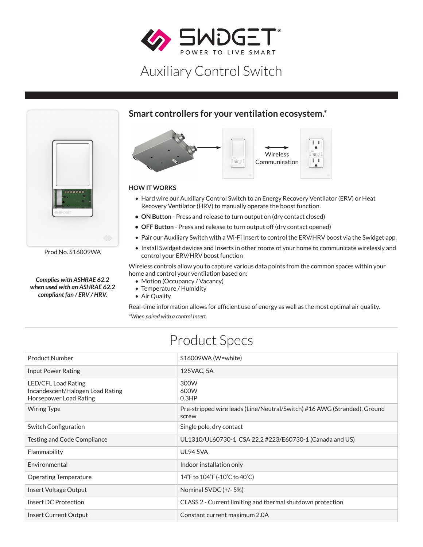

# Auxiliary Control Switch



Prod No. S16009WA

*Complies with ASHRAE 62.2 when used with an ASHRAE 62.2 compliant fan / ERV / HRV.*

### **Smart controllers for your ventilation ecosystem.\***



#### **HOW IT WORKS**

- Hard wire our Auxiliary Control Switch to an Energy Recovery Ventilator (ERV) or Heat Recovery Ventilator (HRV) to manually operate the boost function.
- **• ON Button** Press and release to turn output on (dry contact closed)
- **• OFF Button** Press and release to turn output off (dry contact opened)
- Pair our Auxiliary Switch with a Wi-Fi Insert to control the ERV/HRV boost via the Swidget app.
- Install Swidget devices and Inserts in other rooms of your home to communicate wirelessly and control your ERV/HRV boost function

Wireless controls allow you to capture various data points from the common spaces within your home and control your ventilation based on:

- Motion (Occupancy / Vacancy)
- Temperature / Humidity
- Air Quality

Real-time information allows for efficient use of energy as well as the most optimal air quality. *\*When paired with a control Insert.*

## Product Specs

| <b>Product Number</b>                                                             | S16009WA (W=white)                                                                |
|-----------------------------------------------------------------------------------|-----------------------------------------------------------------------------------|
| Input Power Rating                                                                | 125VAC, 5A                                                                        |
| LED/CFL Load Rating<br>Incandescent/Halogen Load Rating<br>Horsepower Load Rating | 300W<br>600W<br>0.3HP                                                             |
| Wiring Type                                                                       | Pre-stripped wire leads (Line/Neutral/Switch) #16 AWG (Stranded), Ground<br>screw |
| Switch Configuration                                                              | Single pole, dry contact                                                          |
| Testing and Code Compliance                                                       | UL1310/UL60730-1 CSA 22.2 #223/E60730-1 (Canada and US)                           |
| Flammability                                                                      | <b>UL94 5VA</b>                                                                   |
| Environmental                                                                     | Indoor installation only                                                          |
| <b>Operating Temperature</b>                                                      | 14°F to 104°F (-10°C to 40°C)                                                     |
| Insert Voltage Output                                                             | Nominal 5VDC (+/- 5%)                                                             |
| Insert DC Protection                                                              | CLASS 2 - Current limiting and thermal shutdown protection                        |
| Insert Current Output                                                             | Constant current maximum 2.0A                                                     |